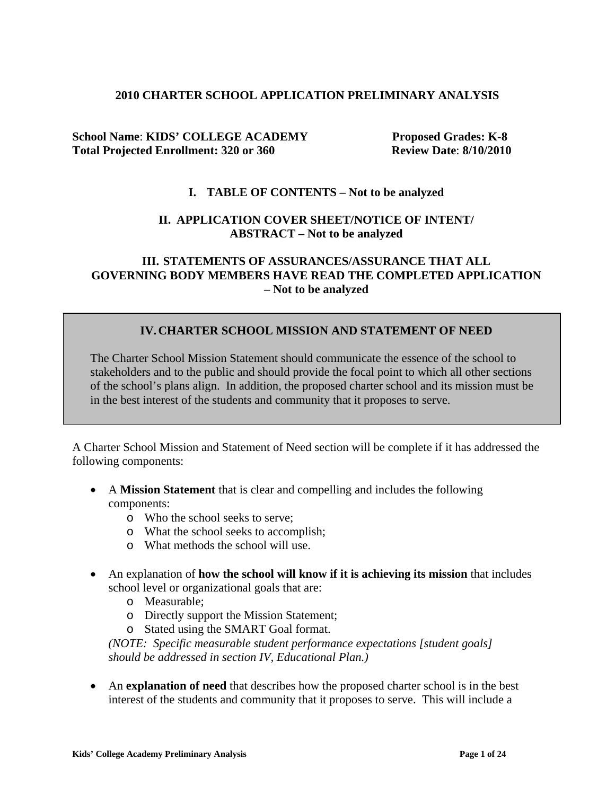### **2010 CHARTER SCHOOL APPLICATION PRELIMINARY ANALYSIS**

### **School Name**: **KIDS' COLLEGE ACADEMY Proposed Grades: K-8**  Total Projected Enrollment: 320 or 360 Review Date: 8/10/2010

### **I. TABLE OF CONTENTS – Not to be analyzed**

### **II. APPLICATION COVER SHEET/NOTICE OF INTENT/ ABSTRACT – Not to be analyzed**

### **III. STATEMENTS OF ASSURANCES/ASSURANCE THAT ALL GOVERNING BODY MEMBERS HAVE READ THE COMPLETED APPLICATION – Not to be analyzed**

## **IV.CHARTER SCHOOL MISSION AND STATEMENT OF NEED**

The Charter School Mission Statement should communicate the essence of the school to stakeholders and to the public and should provide the focal point to which all other sections of the school's plans align. In addition, the proposed charter school and its mission must be in the best interest of the students and community that it proposes to serve.

A Charter School Mission and Statement of Need section will be complete if it has addressed the following components:

- A **Mission Statement** that is clear and compelling and includes the following components:
	- o Who the school seeks to serve;
	- o What the school seeks to accomplish;
	- o What methods the school will use.
- An explanation of **how the school will know if it is achieving its mission** that includes school level or organizational goals that are:
	- o Measurable;
	- o Directly support the Mission Statement;
	- o Stated using the SMART Goal format.

*(NOTE: Specific measurable student performance expectations [student goals] should be addressed in section IV, Educational Plan.)*

• An **explanation of need** that describes how the proposed charter school is in the best interest of the students and community that it proposes to serve. This will include a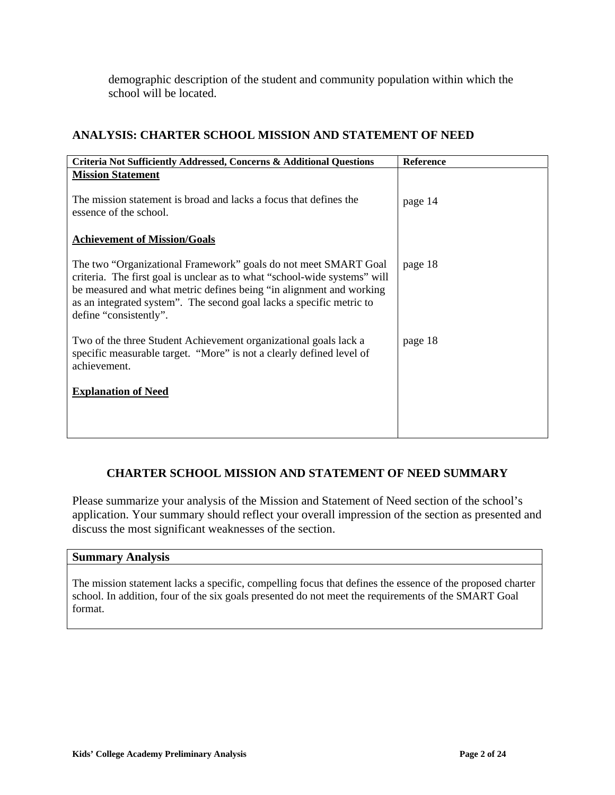demographic description of the student and community population within which the school will be located.

# **ANALYSIS: CHARTER SCHOOL MISSION AND STATEMENT OF NEED**

| Criteria Not Sufficiently Addressed, Concerns & Additional Questions                                                                                                                                                                                                                                                  | <b>Reference</b> |
|-----------------------------------------------------------------------------------------------------------------------------------------------------------------------------------------------------------------------------------------------------------------------------------------------------------------------|------------------|
| <b>Mission Statement</b>                                                                                                                                                                                                                                                                                              |                  |
| The mission statement is broad and lacks a focus that defines the<br>essence of the school.                                                                                                                                                                                                                           | page 14          |
| <b>Achievement of Mission/Goals</b>                                                                                                                                                                                                                                                                                   |                  |
| The two "Organizational Framework" goals do not meet SMART Goal<br>criteria. The first goal is unclear as to what "school-wide systems" will<br>be measured and what metric defines being "in alignment and working<br>as an integrated system". The second goal lacks a specific metric to<br>define "consistently". | page 18          |
| Two of the three Student Achievement organizational goals lack a<br>specific measurable target. "More" is not a clearly defined level of<br>achievement.                                                                                                                                                              | page 18          |
| <b>Explanation of Need</b>                                                                                                                                                                                                                                                                                            |                  |
|                                                                                                                                                                                                                                                                                                                       |                  |
|                                                                                                                                                                                                                                                                                                                       |                  |

## **CHARTER SCHOOL MISSION AND STATEMENT OF NEED SUMMARY**

Please summarize your analysis of the Mission and Statement of Need section of the school's application. Your summary should reflect your overall impression of the section as presented and discuss the most significant weaknesses of the section.

#### **Summary Analysis**

The mission statement lacks a specific, compelling focus that defines the essence of the proposed charter school. In addition, four of the six goals presented do not meet the requirements of the SMART Goal format.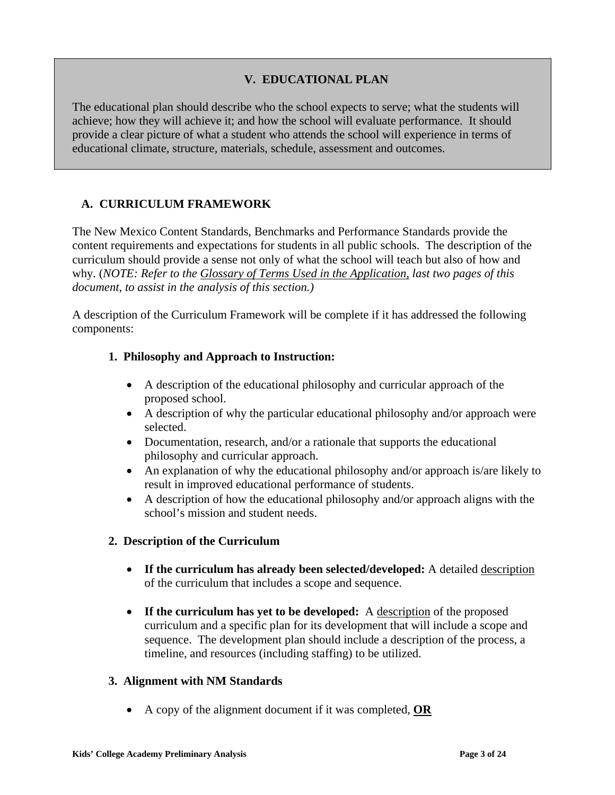# **V. EDUCATIONAL PLAN**

The educational plan should describe who the school expects to serve; what the students will achieve; how they will achieve it; and how the school will evaluate performance. It should provide a clear picture of what a student who attends the school will experience in terms of educational climate, structure, materials, schedule, assessment and outcomes.

# **A. CURRICULUM FRAMEWORK**

The New Mexico Content Standards, Benchmarks and Performance Standards provide the content requirements and expectations for students in all public schools. The description of the curriculum should provide a sense not only of what the school will teach but also of how and why. (*NOTE: Refer to the Glossary of Terms Used in the Application, last two pages of this document, to assist in the analysis of this section.)*

A description of the Curriculum Framework will be complete if it has addressed the following components:

## **1. Philosophy and Approach to Instruction:**

- A description of the educational philosophy and curricular approach of the proposed school.
- A description of why the particular educational philosophy and/or approach were selected.
- Documentation, research, and/or a rationale that supports the educational philosophy and curricular approach.
- An explanation of why the educational philosophy and/or approach is/are likely to result in improved educational performance of students.
- A description of how the educational philosophy and/or approach aligns with the school's mission and student needs.

### **2. Description of the Curriculum**

- **If the curriculum has already been selected/developed:** A detailed description of the curriculum that includes a scope and sequence.
- If the curriculum has yet to be developed: A description of the proposed curriculum and a specific plan for its development that will include a scope and sequence. The development plan should include a description of the process, a timeline, and resources (including staffing) to be utilized.

### **3. Alignment with NM Standards**

• A copy of the alignment document if it was completed, **OR**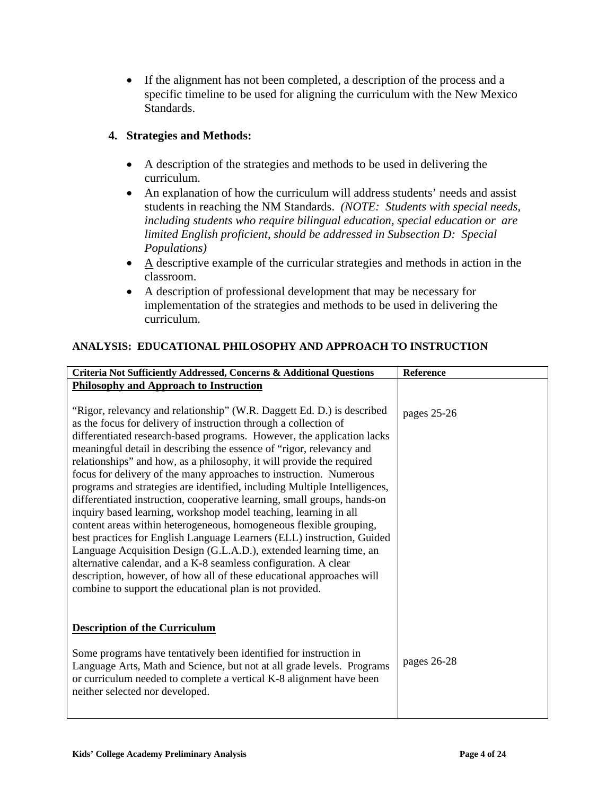• If the alignment has not been completed, a description of the process and a specific timeline to be used for aligning the curriculum with the New Mexico Standards.

# **4. Strategies and Methods:**

- A description of the strategies and methods to be used in delivering the curriculum.
- An explanation of how the curriculum will address students' needs and assist students in reaching the NM Standards. *(NOTE: Students with special needs, including students who require bilingual education, special education or are limited English proficient, should be addressed in Subsection D: Special Populations)*
- $\bullet$  A descriptive example of the curricular strategies and methods in action in the classroom.
- A description of professional development that may be necessary for implementation of the strategies and methods to be used in delivering the curriculum.

# **ANALYSIS: EDUCATIONAL PHILOSOPHY AND APPROACH TO INSTRUCTION**

| Criteria Not Sufficiently Addressed, Concerns & Additional Questions                                                                         | Reference   |
|----------------------------------------------------------------------------------------------------------------------------------------------|-------------|
| <b>Philosophy and Approach to Instruction</b>                                                                                                |             |
|                                                                                                                                              |             |
| "Rigor, relevancy and relationship" (W.R. Daggett Ed. D.) is described                                                                       | pages 25-26 |
| as the focus for delivery of instruction through a collection of                                                                             |             |
| differentiated research-based programs. However, the application lacks                                                                       |             |
| meaningful detail in describing the essence of "rigor, relevancy and                                                                         |             |
| relationships" and how, as a philosophy, it will provide the required                                                                        |             |
| focus for delivery of the many approaches to instruction. Numerous                                                                           |             |
| programs and strategies are identified, including Multiple Intelligences,                                                                    |             |
| differentiated instruction, cooperative learning, small groups, hands-on                                                                     |             |
| inquiry based learning, workshop model teaching, learning in all                                                                             |             |
| content areas within heterogeneous, homogeneous flexible grouping,<br>best practices for English Language Learners (ELL) instruction, Guided |             |
| Language Acquisition Design (G.L.A.D.), extended learning time, an                                                                           |             |
| alternative calendar, and a K-8 seamless configuration. A clear                                                                              |             |
| description, however, of how all of these educational approaches will                                                                        |             |
| combine to support the educational plan is not provided.                                                                                     |             |
|                                                                                                                                              |             |
|                                                                                                                                              |             |
| <b>Description of the Curriculum</b>                                                                                                         |             |
| Some programs have tentatively been identified for instruction in                                                                            |             |
| Language Arts, Math and Science, but not at all grade levels. Programs                                                                       | pages 26-28 |
| or curriculum needed to complete a vertical K-8 alignment have been                                                                          |             |
| neither selected nor developed.                                                                                                              |             |
|                                                                                                                                              |             |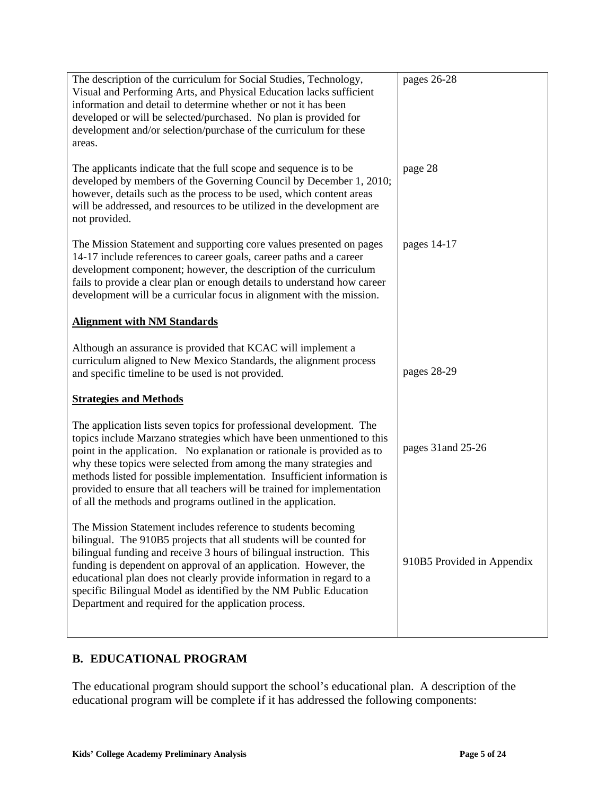| The description of the curriculum for Social Studies, Technology,<br>Visual and Performing Arts, and Physical Education lacks sufficient<br>information and detail to determine whether or not it has been<br>developed or will be selected/purchased. No plan is provided for<br>development and/or selection/purchase of the curriculum for these<br>areas.                                                                                                                                                       | pages 26-28                |
|---------------------------------------------------------------------------------------------------------------------------------------------------------------------------------------------------------------------------------------------------------------------------------------------------------------------------------------------------------------------------------------------------------------------------------------------------------------------------------------------------------------------|----------------------------|
| The applicants indicate that the full scope and sequence is to be<br>developed by members of the Governing Council by December 1, 2010;<br>however, details such as the process to be used, which content areas<br>will be addressed, and resources to be utilized in the development are<br>not provided.                                                                                                                                                                                                          | page 28                    |
| The Mission Statement and supporting core values presented on pages<br>14-17 include references to career goals, career paths and a career<br>development component; however, the description of the curriculum<br>fails to provide a clear plan or enough details to understand how career<br>development will be a curricular focus in alignment with the mission.                                                                                                                                                | pages 14-17                |
| <b>Alignment with NM Standards</b>                                                                                                                                                                                                                                                                                                                                                                                                                                                                                  |                            |
| Although an assurance is provided that KCAC will implement a<br>curriculum aligned to New Mexico Standards, the alignment process<br>and specific timeline to be used is not provided.                                                                                                                                                                                                                                                                                                                              | pages 28-29                |
| <b>Strategies and Methods</b>                                                                                                                                                                                                                                                                                                                                                                                                                                                                                       |                            |
| The application lists seven topics for professional development. The<br>topics include Marzano strategies which have been unmentioned to this<br>point in the application. No explanation or rationale is provided as to<br>why these topics were selected from among the many strategies and<br>methods listed for possible implementation. Insufficient information is<br>provided to ensure that all teachers will be trained for implementation<br>of all the methods and programs outlined in the application. | pages 31 and 25-26         |
| The Mission Statement includes reference to students becoming<br>bilingual. The 910B5 projects that all students will be counted for<br>bilingual funding and receive 3 hours of bilingual instruction. This<br>funding is dependent on approval of an application. However, the<br>educational plan does not clearly provide information in regard to a<br>specific Bilingual Model as identified by the NM Public Education<br>Department and required for the application process.                               | 910B5 Provided in Appendix |

# **B. EDUCATIONAL PROGRAM**

The educational program should support the school's educational plan. A description of the educational program will be complete if it has addressed the following components: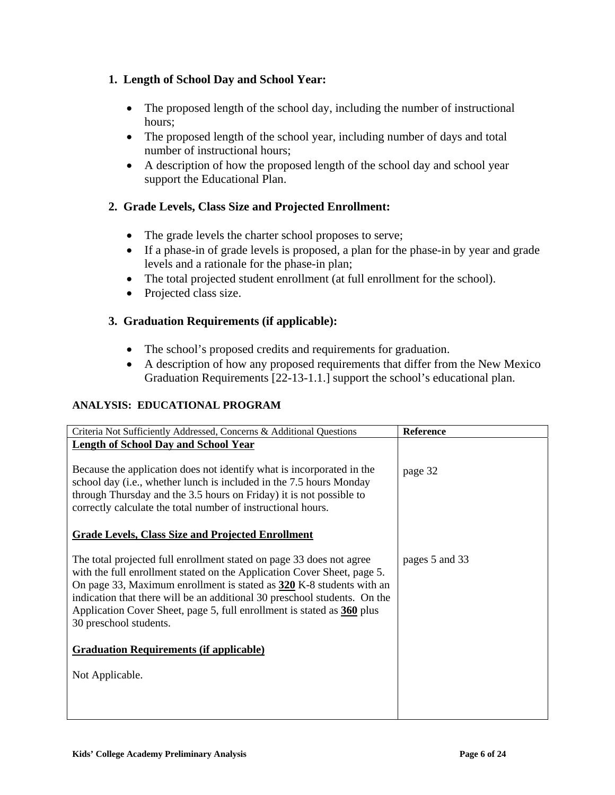# **1. Length of School Day and School Year:**

- The proposed length of the school day, including the number of instructional hours;
- The proposed length of the school year, including number of days and total number of instructional hours;
- A description of how the proposed length of the school day and school year support the Educational Plan.

# **2. Grade Levels, Class Size and Projected Enrollment:**

- The grade levels the charter school proposes to serve;
- If a phase-in of grade levels is proposed, a plan for the phase-in by year and grade levels and a rationale for the phase-in plan;
- The total projected student enrollment (at full enrollment for the school).
- Projected class size.

# **3. Graduation Requirements (if applicable):**

- The school's proposed credits and requirements for graduation.
- A description of how any proposed requirements that differ from the New Mexico Graduation Requirements [22-13-1.1.] support the school's educational plan.

## **ANALYSIS: EDUCATIONAL PROGRAM**

| Criteria Not Sufficiently Addressed, Concerns & Additional Questions                                                                                                                                                                                                                                                                                                                                     | <b>Reference</b> |
|----------------------------------------------------------------------------------------------------------------------------------------------------------------------------------------------------------------------------------------------------------------------------------------------------------------------------------------------------------------------------------------------------------|------------------|
| <b>Length of School Day and School Year</b>                                                                                                                                                                                                                                                                                                                                                              |                  |
| Because the application does not identify what is incorporated in the<br>school day (i.e., whether lunch is included in the 7.5 hours Monday<br>through Thursday and the 3.5 hours on Friday) it is not possible to<br>correctly calculate the total number of instructional hours.                                                                                                                      | page 32          |
| <b>Grade Levels, Class Size and Projected Enrollment</b>                                                                                                                                                                                                                                                                                                                                                 |                  |
| The total projected full enrollment stated on page 33 does not agree<br>with the full enrollment stated on the Application Cover Sheet, page 5.<br>On page 33, Maximum enrollment is stated as 320 K-8 students with an<br>indication that there will be an additional 30 preschool students. On the<br>Application Cover Sheet, page 5, full enrollment is stated as 360 plus<br>30 preschool students. | pages 5 and 33   |
| <b>Graduation Requirements (if applicable)</b>                                                                                                                                                                                                                                                                                                                                                           |                  |
| Not Applicable.                                                                                                                                                                                                                                                                                                                                                                                          |                  |
|                                                                                                                                                                                                                                                                                                                                                                                                          |                  |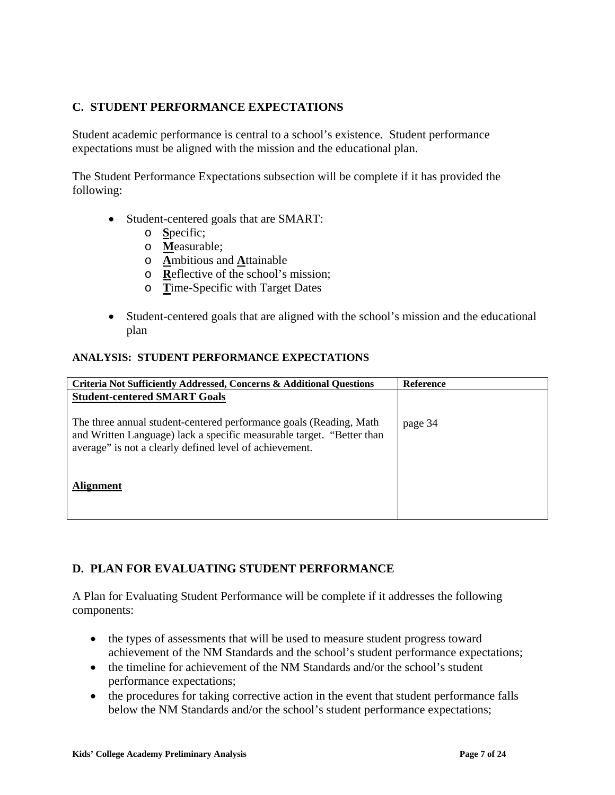# **C. STUDENT PERFORMANCE EXPECTATIONS**

Student academic performance is central to a school's existence. Student performance expectations must be aligned with the mission and the educational plan.

The Student Performance Expectations subsection will be complete if it has provided the following:

- Student-centered goals that are SMART:
	- o **S**pecific;
	- o **M**easurable;
	- o **A**mbitious and **A**ttainable
	- o **R**eflective of the school's mission;
	- o **T**ime-Specific with Target Dates
- Student-centered goals that are aligned with the school's mission and the educational plan

#### **ANALYSIS: STUDENT PERFORMANCE EXPECTATIONS**

| Criteria Not Sufficiently Addressed, Concerns & Additional Questions                                                                                                                                   | <b>Reference</b> |
|--------------------------------------------------------------------------------------------------------------------------------------------------------------------------------------------------------|------------------|
| <b>Student-centered SMART Goals</b>                                                                                                                                                                    |                  |
| The three annual student-centered performance goals (Reading, Math<br>and Written Language) lack a specific measurable target. "Better than<br>average" is not a clearly defined level of achievement. | page 34          |
| Alignment                                                                                                                                                                                              |                  |

## **D. PLAN FOR EVALUATING STUDENT PERFORMANCE**

A Plan for Evaluating Student Performance will be complete if it addresses the following components:

- the types of assessments that will be used to measure student progress toward achievement of the NM Standards and the school's student performance expectations;
- the timeline for achievement of the NM Standards and/or the school's student performance expectations;
- the procedures for taking corrective action in the event that student performance falls below the NM Standards and/or the school's student performance expectations;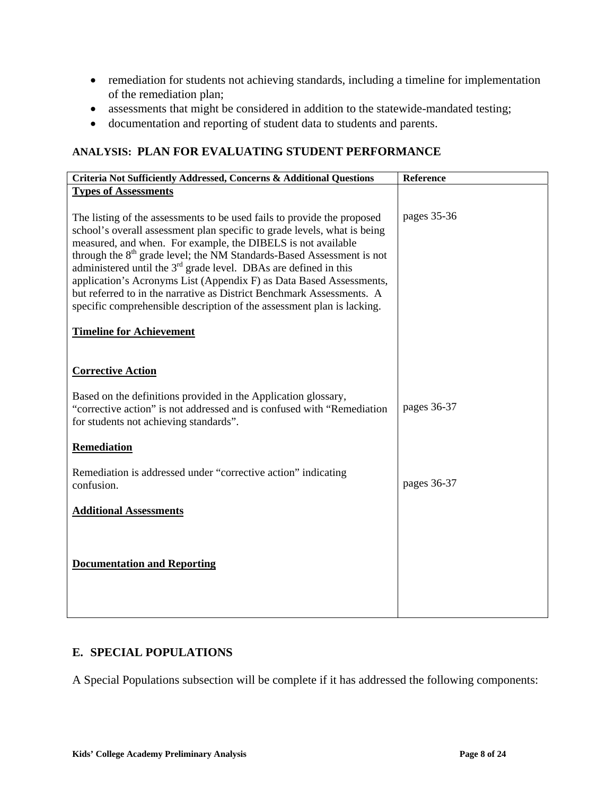- remediation for students not achieving standards, including a timeline for implementation of the remediation plan;
- assessments that might be considered in addition to the statewide-mandated testing;
- documentation and reporting of student data to students and parents.

## **ANALYSIS: PLAN FOR EVALUATING STUDENT PERFORMANCE**

| Criteria Not Sufficiently Addressed, Concerns & Additional Questions                                                                                                                                                                                                                                                                                                                                                                                                                                                                                                                                                                        | Reference   |
|---------------------------------------------------------------------------------------------------------------------------------------------------------------------------------------------------------------------------------------------------------------------------------------------------------------------------------------------------------------------------------------------------------------------------------------------------------------------------------------------------------------------------------------------------------------------------------------------------------------------------------------------|-------------|
| <b>Types of Assessments</b>                                                                                                                                                                                                                                                                                                                                                                                                                                                                                                                                                                                                                 |             |
| The listing of the assessments to be used fails to provide the proposed<br>school's overall assessment plan specific to grade levels, what is being<br>measured, and when. For example, the DIBELS is not available<br>through the 8 <sup>th</sup> grade level; the NM Standards-Based Assessment is not<br>administered until the $3rd$ grade level. DBAs are defined in this<br>application's Acronyms List (Appendix F) as Data Based Assessments,<br>but referred to in the narrative as District Benchmark Assessments. A<br>specific comprehensible description of the assessment plan is lacking.<br><b>Timeline for Achievement</b> | pages 35-36 |
|                                                                                                                                                                                                                                                                                                                                                                                                                                                                                                                                                                                                                                             |             |
| <b>Corrective Action</b><br>Based on the definitions provided in the Application glossary,                                                                                                                                                                                                                                                                                                                                                                                                                                                                                                                                                  |             |
| "corrective action" is not addressed and is confused with "Remediation"<br>for students not achieving standards".                                                                                                                                                                                                                                                                                                                                                                                                                                                                                                                           | pages 36-37 |
| Remediation                                                                                                                                                                                                                                                                                                                                                                                                                                                                                                                                                                                                                                 |             |
| Remediation is addressed under "corrective action" indicating<br>confusion.                                                                                                                                                                                                                                                                                                                                                                                                                                                                                                                                                                 | pages 36-37 |
| <b>Additional Assessments</b>                                                                                                                                                                                                                                                                                                                                                                                                                                                                                                                                                                                                               |             |
| <b>Documentation and Reporting</b>                                                                                                                                                                                                                                                                                                                                                                                                                                                                                                                                                                                                          |             |

## **E. SPECIAL POPULATIONS**

A Special Populations subsection will be complete if it has addressed the following components: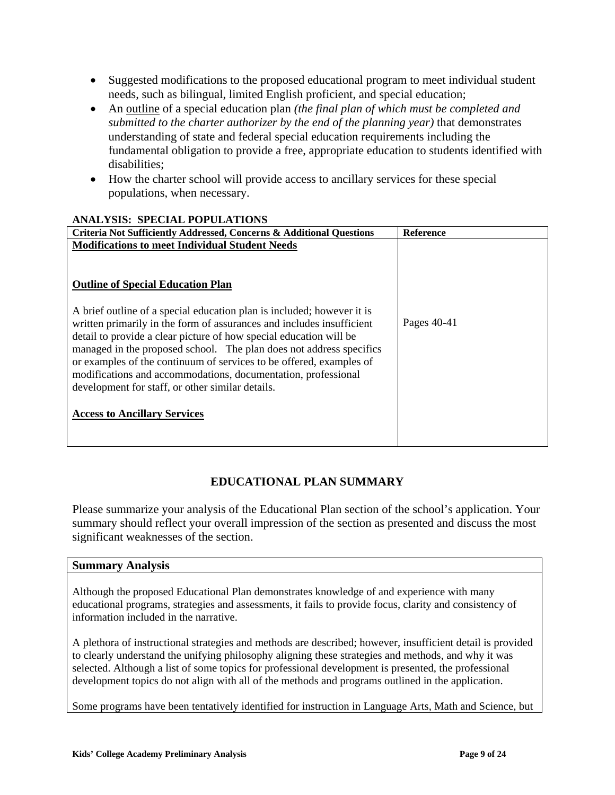- Suggested modifications to the proposed educational program to meet individual student needs, such as bilingual, limited English proficient, and special education;
- An outline of a special education plan *(the final plan of which must be completed and submitted to the charter authorizer by the end of the planning year)* that demonstrates understanding of state and federal special education requirements including the fundamental obligation to provide a free, appropriate education to students identified with disabilities;
- How the charter school will provide access to ancillary services for these special populations, when necessary.

| ништою, от венив гот евитного                                                                                                                                                                                                                                                                                                                              |                  |
|------------------------------------------------------------------------------------------------------------------------------------------------------------------------------------------------------------------------------------------------------------------------------------------------------------------------------------------------------------|------------------|
| Criteria Not Sufficiently Addressed, Concerns & Additional Questions                                                                                                                                                                                                                                                                                       | <b>Reference</b> |
| <b>Modifications to meet Individual Student Needs</b>                                                                                                                                                                                                                                                                                                      |                  |
| <b>Outline of Special Education Plan</b><br>A brief outline of a special education plan is included; however it is                                                                                                                                                                                                                                         |                  |
| written primarily in the form of assurances and includes insufficient<br>detail to provide a clear picture of how special education will be<br>managed in the proposed school. The plan does not address specifics<br>or examples of the continuum of services to be offered, examples of<br>modifications and accommodations, documentation, professional | Pages 40-41      |
| development for staff, or other similar details.<br><b>Access to Ancillary Services</b>                                                                                                                                                                                                                                                                    |                  |
|                                                                                                                                                                                                                                                                                                                                                            |                  |

#### **ANALYSIS: SPECIAL POPULATIONS**

# **EDUCATIONAL PLAN SUMMARY**

Please summarize your analysis of the Educational Plan section of the school's application. Your summary should reflect your overall impression of the section as presented and discuss the most significant weaknesses of the section.

#### **Summary Analysis**

Although the proposed Educational Plan demonstrates knowledge of and experience with many educational programs, strategies and assessments, it fails to provide focus, clarity and consistency of information included in the narrative.

A plethora of instructional strategies and methods are described; however, insufficient detail is provided to clearly understand the unifying philosophy aligning these strategies and methods, and why it was selected. Although a list of some topics for professional development is presented, the professional development topics do not align with all of the methods and programs outlined in the application.

Some programs have been tentatively identified for instruction in Language Arts, Math and Science, but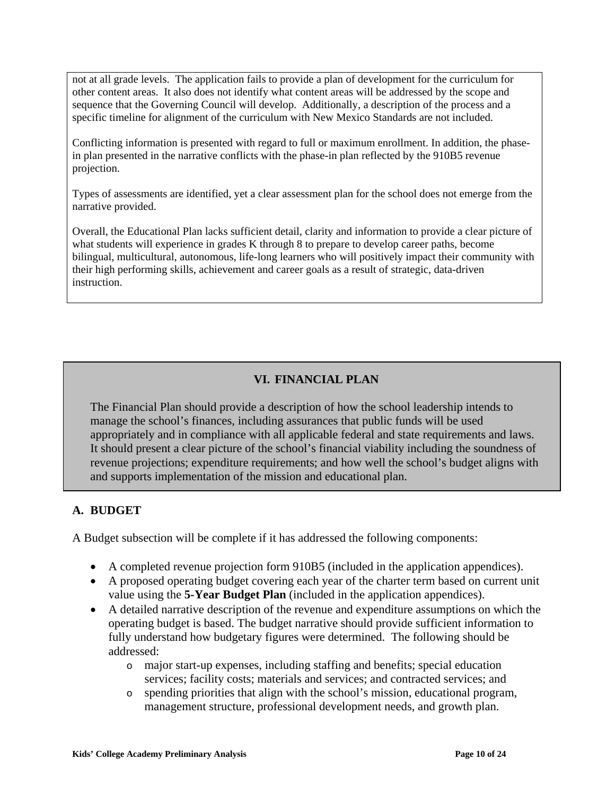not at all grade levels. The application fails to provide a plan of development for the curriculum for other content areas. It also does not identify what content areas will be addressed by the scope and sequence that the Governing Council will develop. Additionally, a description of the process and a specific timeline for alignment of the curriculum with New Mexico Standards are not included.

Conflicting information is presented with regard to full or maximum enrollment. In addition, the phasein plan presented in the narrative conflicts with the phase-in plan reflected by the 910B5 revenue projection.

Types of assessments are identified, yet a clear assessment plan for the school does not emerge from the narrative provided.

Overall, the Educational Plan lacks sufficient detail, clarity and information to provide a clear picture of what students will experience in grades K through 8 to prepare to develop career paths, become bilingual, multicultural, autonomous, life-long learners who will positively impact their community with their high performing skills, achievement and career goals as a result of strategic, data-driven instruction.

# **VI. FINANCIAL PLAN**

The Financial Plan should provide a description of how the school leadership intends to manage the school's finances, including assurances that public funds will be used appropriately and in compliance with all applicable federal and state requirements and laws. It should present a clear picture of the school's financial viability including the soundness of revenue projections; expenditure requirements; and how well the school's budget aligns with and supports implementation of the mission and educational plan.

## **A. BUDGET**

A Budget subsection will be complete if it has addressed the following components:

- A completed revenue projection form 910B5 (included in the application appendices).
- A proposed operating budget covering each year of the charter term based on current unit value using the **5-Year Budget Plan** (included in the application appendices).
- A detailed narrative description of the revenue and expenditure assumptions on which the operating budget is based. The budget narrative should provide sufficient information to fully understand how budgetary figures were determined. The following should be addressed:
	- o major start-up expenses, including staffing and benefits; special education services; facility costs; materials and services; and contracted services; and
	- o spending priorities that align with the school's mission, educational program, management structure, professional development needs, and growth plan.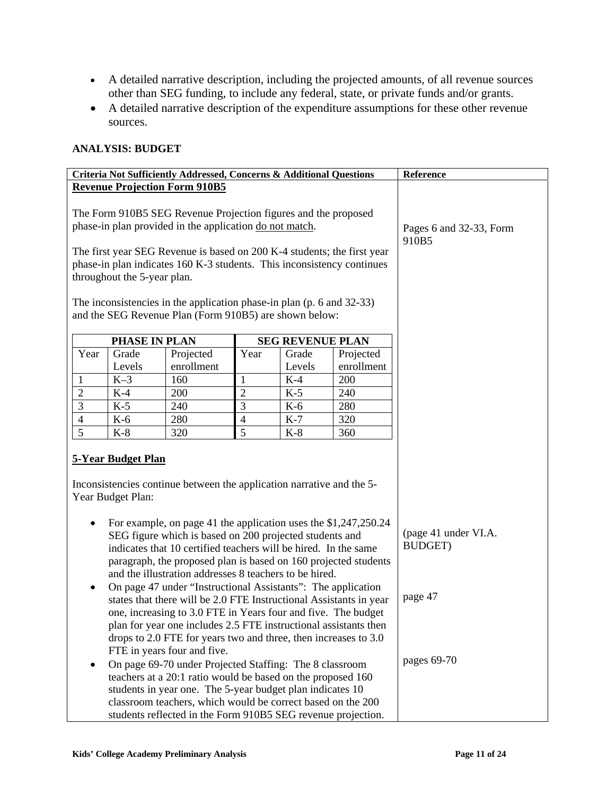- A detailed narrative description, including the projected amounts, of all revenue sources other than SEG funding, to include any federal, state, or private funds and/or grants.
- A detailed narrative description of the expenditure assumptions for these other revenue sources.

### **ANALYSIS: BUDGET**

| Criteria Not Sufficiently Addressed, Concerns & Additional Questions                                                                                                                                                                                                                                                                                                                                                                                                                                                                                      |                      |                                                                                                                                 | Reference                                         |                         |                         |  |
|-----------------------------------------------------------------------------------------------------------------------------------------------------------------------------------------------------------------------------------------------------------------------------------------------------------------------------------------------------------------------------------------------------------------------------------------------------------------------------------------------------------------------------------------------------------|----------------------|---------------------------------------------------------------------------------------------------------------------------------|---------------------------------------------------|-------------------------|-------------------------|--|
| <b>Revenue Projection Form 910B5</b>                                                                                                                                                                                                                                                                                                                                                                                                                                                                                                                      |                      |                                                                                                                                 |                                                   |                         |                         |  |
| The Form 910B5 SEG Revenue Projection figures and the proposed<br>phase-in plan provided in the application do not match.                                                                                                                                                                                                                                                                                                                                                                                                                                 |                      |                                                                                                                                 |                                                   |                         | Pages 6 and 32-33, Form |  |
| The first year SEG Revenue is based on 200 K-4 students; the first year<br>phase-in plan indicates 160 K-3 students. This inconsistency continues<br>throughout the 5-year plan.                                                                                                                                                                                                                                                                                                                                                                          |                      |                                                                                                                                 | 910B5                                             |                         |                         |  |
|                                                                                                                                                                                                                                                                                                                                                                                                                                                                                                                                                           |                      | The inconsistencies in the application phase-in plan (p. 6 and 32-33)<br>and the SEG Revenue Plan (Form 910B5) are shown below: |                                                   |                         |                         |  |
|                                                                                                                                                                                                                                                                                                                                                                                                                                                                                                                                                           | <b>PHASE IN PLAN</b> |                                                                                                                                 |                                                   | <b>SEG REVENUE PLAN</b> |                         |  |
| Year                                                                                                                                                                                                                                                                                                                                                                                                                                                                                                                                                      | Grade                | Projected                                                                                                                       | Year                                              | Grade                   | Projected               |  |
|                                                                                                                                                                                                                                                                                                                                                                                                                                                                                                                                                           | Levels               | enrollment                                                                                                                      |                                                   | Levels                  | enrollment              |  |
| $\mathbf{1}$                                                                                                                                                                                                                                                                                                                                                                                                                                                                                                                                              | $K-3$                | 160                                                                                                                             | 1                                                 | $K-4$                   | 200                     |  |
| $\overline{2}$                                                                                                                                                                                                                                                                                                                                                                                                                                                                                                                                            | $K-4$                | 200                                                                                                                             | $\overline{2}$                                    | $K-5$                   | 240                     |  |
| $\overline{3}$                                                                                                                                                                                                                                                                                                                                                                                                                                                                                                                                            | $K-5$                | 240                                                                                                                             | $\overline{3}$                                    | $K-6$                   | 280                     |  |
| $\overline{4}$                                                                                                                                                                                                                                                                                                                                                                                                                                                                                                                                            | $K-6$                | 280                                                                                                                             | $\overline{4}$                                    | $K-7$                   | 320                     |  |
| $\overline{5}$                                                                                                                                                                                                                                                                                                                                                                                                                                                                                                                                            | $K-8$                | 320                                                                                                                             | $\overline{5}$                                    | $K-8$                   | 360                     |  |
| <b>5-Year Budget Plan</b><br>Inconsistencies continue between the application narrative and the 5-<br>Year Budget Plan:                                                                                                                                                                                                                                                                                                                                                                                                                                   |                      |                                                                                                                                 |                                                   |                         |                         |  |
| For example, on page 41 the application uses the \$1,247,250.24<br>SEG figure which is based on 200 projected students and<br>indicates that 10 certified teachers will be hired. In the same<br>paragraph, the proposed plan is based on 160 projected students<br>and the illustration addresses 8 teachers to be hired.<br>On page 47 under "Instructional Assistants": The application<br>states that there will be 2.0 FTE Instructional Assistants in year                                                                                          |                      |                                                                                                                                 | (page 41 under VI.A.<br><b>BUDGET)</b><br>page 47 |                         |                         |  |
| one, increasing to 3.0 FTE in Years four and five. The budget<br>plan for year one includes 2.5 FTE instructional assistants then<br>drops to 2.0 FTE for years two and three, then increases to 3.0<br>FTE in years four and five.<br>On page 69-70 under Projected Staffing: The 8 classroom<br>teachers at a 20:1 ratio would be based on the proposed 160<br>students in year one. The 5-year budget plan indicates 10<br>classroom teachers, which would be correct based on the 200<br>students reflected in the Form 910B5 SEG revenue projection. |                      |                                                                                                                                 | pages 69-70                                       |                         |                         |  |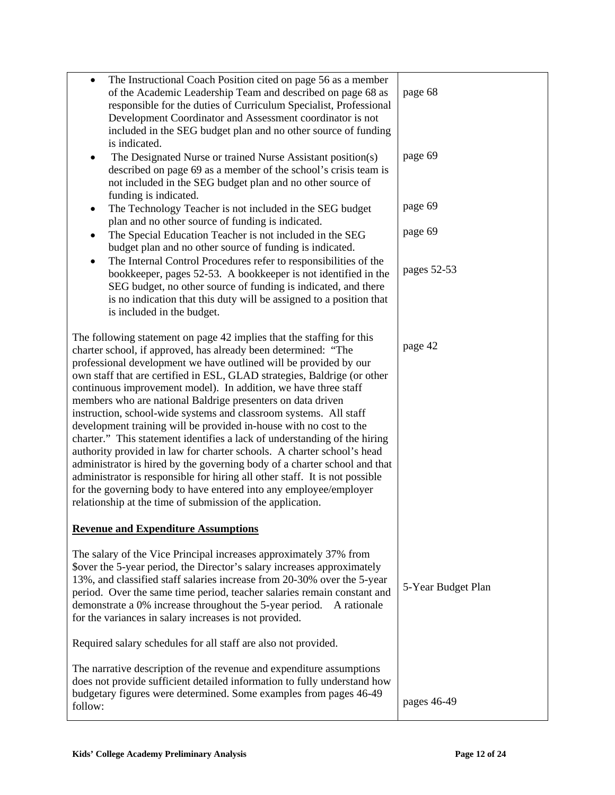| The Instructional Coach Position cited on page 56 as a member<br>$\bullet$<br>of the Academic Leadership Team and described on page 68 as<br>responsible for the duties of Curriculum Specialist, Professional<br>Development Coordinator and Assessment coordinator is not<br>included in the SEG budget plan and no other source of funding<br>is indicated.<br>The Designated Nurse or trained Nurse Assistant position(s)<br>described on page 69 as a member of the school's crisis team is<br>not included in the SEG budget plan and no other source of<br>funding is indicated.<br>The Technology Teacher is not included in the SEG budget<br>٠<br>plan and no other source of funding is indicated.<br>The Special Education Teacher is not included in the SEG<br>budget plan and no other source of funding is indicated.<br>The Internal Control Procedures refer to responsibilities of the<br>٠                                                                                                              | page 68<br>page 69<br>page 69<br>page 69 |
|-----------------------------------------------------------------------------------------------------------------------------------------------------------------------------------------------------------------------------------------------------------------------------------------------------------------------------------------------------------------------------------------------------------------------------------------------------------------------------------------------------------------------------------------------------------------------------------------------------------------------------------------------------------------------------------------------------------------------------------------------------------------------------------------------------------------------------------------------------------------------------------------------------------------------------------------------------------------------------------------------------------------------------|------------------------------------------|
| bookkeeper, pages 52-53. A bookkeeper is not identified in the<br>SEG budget, no other source of funding is indicated, and there<br>is no indication that this duty will be assigned to a position that<br>is included in the budget.                                                                                                                                                                                                                                                                                                                                                                                                                                                                                                                                                                                                                                                                                                                                                                                       | pages 52-53                              |
| The following statement on page 42 implies that the staffing for this<br>charter school, if approved, has already been determined: "The<br>professional development we have outlined will be provided by our<br>own staff that are certified in ESL, GLAD strategies, Baldrige (or other<br>continuous improvement model). In addition, we have three staff<br>members who are national Baldrige presenters on data driven<br>instruction, school-wide systems and classroom systems. All staff<br>development training will be provided in-house with no cost to the<br>charter." This statement identifies a lack of understanding of the hiring<br>authority provided in law for charter schools. A charter school's head<br>administrator is hired by the governing body of a charter school and that<br>administrator is responsible for hiring all other staff. It is not possible<br>for the governing body to have entered into any employee/employer<br>relationship at the time of submission of the application. | page 42                                  |
| <b>Revenue and Expenditure Assumptions</b>                                                                                                                                                                                                                                                                                                                                                                                                                                                                                                                                                                                                                                                                                                                                                                                                                                                                                                                                                                                  |                                          |
| The salary of the Vice Principal increases approximately 37% from<br>\$over the 5-year period, the Director's salary increases approximately<br>13%, and classified staff salaries increase from 20-30% over the 5-year<br>period. Over the same time period, teacher salaries remain constant and<br>demonstrate a 0% increase throughout the 5-year period.<br>A rationale<br>for the variances in salary increases is not provided.                                                                                                                                                                                                                                                                                                                                                                                                                                                                                                                                                                                      | 5-Year Budget Plan                       |
| Required salary schedules for all staff are also not provided.                                                                                                                                                                                                                                                                                                                                                                                                                                                                                                                                                                                                                                                                                                                                                                                                                                                                                                                                                              |                                          |
| The narrative description of the revenue and expenditure assumptions<br>does not provide sufficient detailed information to fully understand how<br>budgetary figures were determined. Some examples from pages 46-49<br>follow:                                                                                                                                                                                                                                                                                                                                                                                                                                                                                                                                                                                                                                                                                                                                                                                            | pages 46-49                              |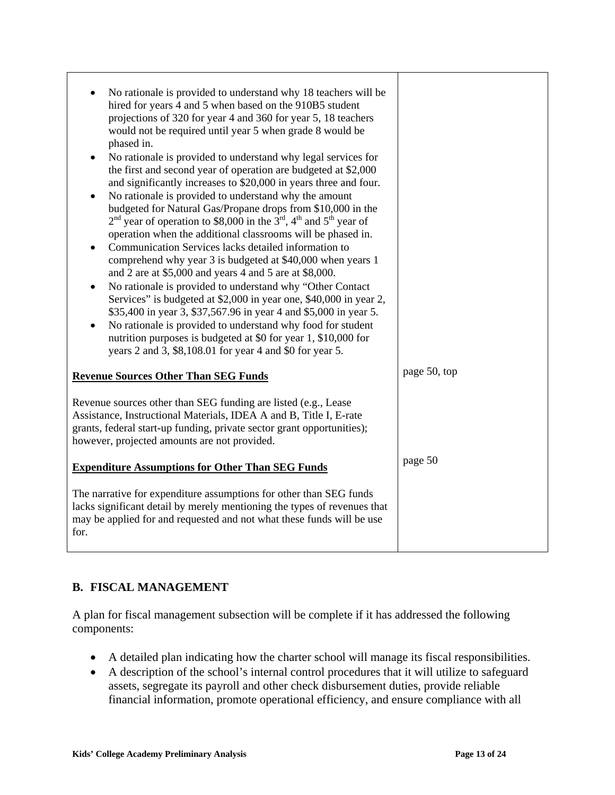| No rationale is provided to understand why 18 teachers will be<br>hired for years 4 and 5 when based on the 910B5 student<br>projections of 320 for year 4 and 360 for year 5, 18 teachers<br>would not be required until year 5 when grade 8 would be<br>phased in.<br>No rationale is provided to understand why legal services for<br>$\bullet$<br>the first and second year of operation are budgeted at \$2,000<br>and significantly increases to \$20,000 in years three and four.<br>No rationale is provided to understand why the amount<br>$\bullet$<br>budgeted for Natural Gas/Propane drops from \$10,000 in the<br>$2nd$ year of operation to \$8,000 in the $3rd$ , 4 <sup>th</sup> and 5 <sup>th</sup> year of<br>operation when the additional classrooms will be phased in.<br>Communication Services lacks detailed information to<br>$\bullet$<br>comprehend why year 3 is budgeted at \$40,000 when years 1<br>and 2 are at \$5,000 and years 4 and 5 are at \$8,000.<br>No rationale is provided to understand why "Other Contact<br>$\bullet$<br>Services" is budgeted at \$2,000 in year one, \$40,000 in year 2,<br>\$35,400 in year 3, \$37,567.96 in year 4 and \$5,000 in year 5.<br>No rationale is provided to understand why food for student<br>$\bullet$<br>nutrition purposes is budgeted at \$0 for year 1, \$10,000 for<br>years 2 and 3, \$8,108.01 for year 4 and \$0 for year 5. |              |
|-------------------------------------------------------------------------------------------------------------------------------------------------------------------------------------------------------------------------------------------------------------------------------------------------------------------------------------------------------------------------------------------------------------------------------------------------------------------------------------------------------------------------------------------------------------------------------------------------------------------------------------------------------------------------------------------------------------------------------------------------------------------------------------------------------------------------------------------------------------------------------------------------------------------------------------------------------------------------------------------------------------------------------------------------------------------------------------------------------------------------------------------------------------------------------------------------------------------------------------------------------------------------------------------------------------------------------------------------------------------------------------------------------------------------|--------------|
| <b>Revenue Sources Other Than SEG Funds</b>                                                                                                                                                                                                                                                                                                                                                                                                                                                                                                                                                                                                                                                                                                                                                                                                                                                                                                                                                                                                                                                                                                                                                                                                                                                                                                                                                                             | page 50, top |
| Revenue sources other than SEG funding are listed (e.g., Lease<br>Assistance, Instructional Materials, IDEA A and B, Title I, E-rate<br>grants, federal start-up funding, private sector grant opportunities);<br>however, projected amounts are not provided.                                                                                                                                                                                                                                                                                                                                                                                                                                                                                                                                                                                                                                                                                                                                                                                                                                                                                                                                                                                                                                                                                                                                                          |              |
| <b>Expenditure Assumptions for Other Than SEG Funds</b>                                                                                                                                                                                                                                                                                                                                                                                                                                                                                                                                                                                                                                                                                                                                                                                                                                                                                                                                                                                                                                                                                                                                                                                                                                                                                                                                                                 | page 50      |
| The narrative for expenditure assumptions for other than SEG funds<br>lacks significant detail by merely mentioning the types of revenues that<br>may be applied for and requested and not what these funds will be use<br>for.                                                                                                                                                                                                                                                                                                                                                                                                                                                                                                                                                                                                                                                                                                                                                                                                                                                                                                                                                                                                                                                                                                                                                                                         |              |

# **B. FISCAL MANAGEMENT**

A plan for fiscal management subsection will be complete if it has addressed the following components:

- A detailed plan indicating how the charter school will manage its fiscal responsibilities.
- A description of the school's internal control procedures that it will utilize to safeguard assets, segregate its payroll and other check disbursement duties, provide reliable financial information, promote operational efficiency, and ensure compliance with all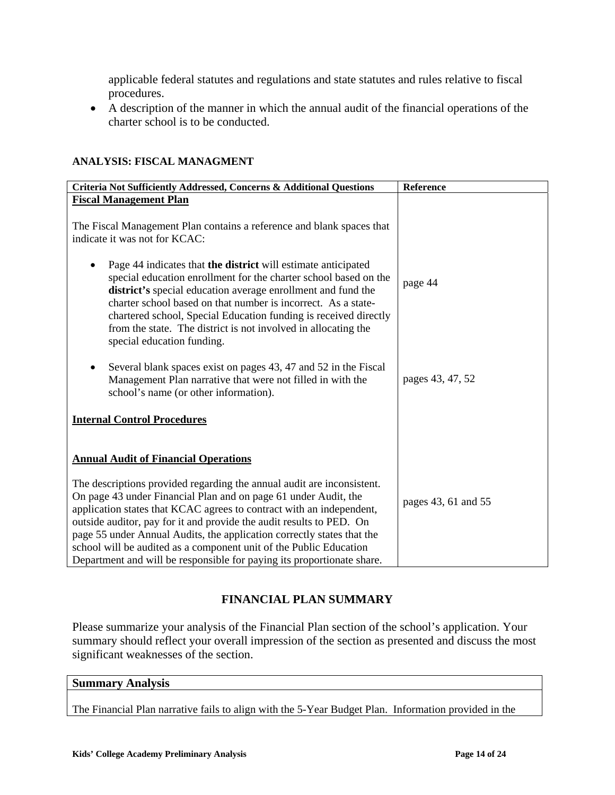applicable federal statutes and regulations and state statutes and rules relative to fiscal procedures.

• A description of the manner in which the annual audit of the financial operations of the charter school is to be conducted.

| Criteria Not Sufficiently Addressed, Concerns & Additional Questions                                                                                                                                                                                                                                                                                                                                                                                                                                                | Reference           |
|---------------------------------------------------------------------------------------------------------------------------------------------------------------------------------------------------------------------------------------------------------------------------------------------------------------------------------------------------------------------------------------------------------------------------------------------------------------------------------------------------------------------|---------------------|
| <b>Fiscal Management Plan</b>                                                                                                                                                                                                                                                                                                                                                                                                                                                                                       |                     |
|                                                                                                                                                                                                                                                                                                                                                                                                                                                                                                                     |                     |
| The Fiscal Management Plan contains a reference and blank spaces that                                                                                                                                                                                                                                                                                                                                                                                                                                               |                     |
| indicate it was not for KCAC:                                                                                                                                                                                                                                                                                                                                                                                                                                                                                       |                     |
| Page 44 indicates that the district will estimate anticipated<br>special education enrollment for the charter school based on the<br>district's special education average enrollment and fund the<br>charter school based on that number is incorrect. As a state-<br>chartered school, Special Education funding is received directly<br>from the state. The district is not involved in allocating the<br>special education funding.                                                                              | page 44             |
| Several blank spaces exist on pages 43, 47 and 52 in the Fiscal<br>Management Plan narrative that were not filled in with the<br>school's name (or other information).                                                                                                                                                                                                                                                                                                                                              | pages 43, 47, 52    |
| <b>Internal Control Procedures</b>                                                                                                                                                                                                                                                                                                                                                                                                                                                                                  |                     |
| <b>Annual Audit of Financial Operations</b>                                                                                                                                                                                                                                                                                                                                                                                                                                                                         |                     |
| The descriptions provided regarding the annual audit are inconsistent.<br>On page 43 under Financial Plan and on page 61 under Audit, the<br>application states that KCAC agrees to contract with an independent,<br>outside auditor, pay for it and provide the audit results to PED. On<br>page 55 under Annual Audits, the application correctly states that the<br>school will be audited as a component unit of the Public Education<br>Department and will be responsible for paying its proportionate share. | pages 43, 61 and 55 |

### **ANALYSIS: FISCAL MANAGMENT**

# **FINANCIAL PLAN SUMMARY**

Please summarize your analysis of the Financial Plan section of the school's application. Your summary should reflect your overall impression of the section as presented and discuss the most significant weaknesses of the section.

#### **Summary Analysis**

The Financial Plan narrative fails to align with the 5-Year Budget Plan. Information provided in the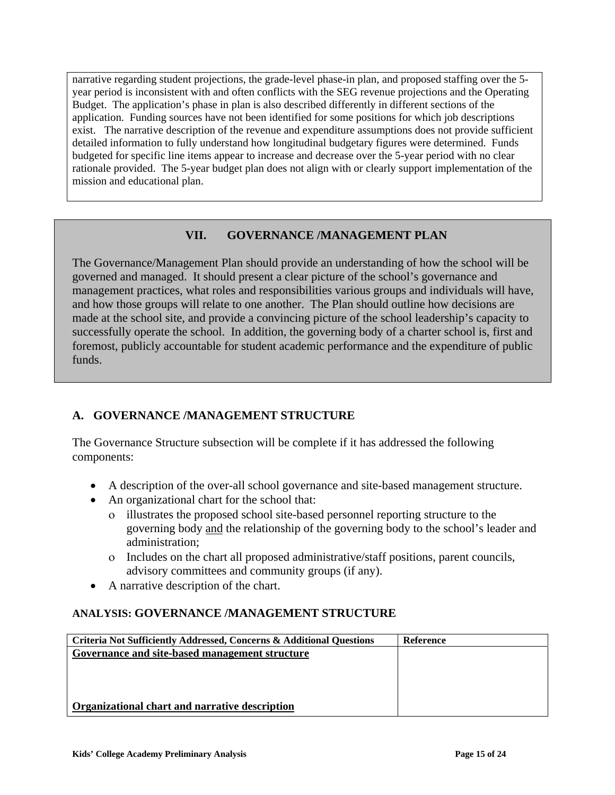narrative regarding student projections, the grade-level phase-in plan, and proposed staffing over the 5 year period is inconsistent with and often conflicts with the SEG revenue projections and the Operating Budget. The application's phase in plan is also described differently in different sections of the application. Funding sources have not been identified for some positions for which job descriptions exist. The narrative description of the revenue and expenditure assumptions does not provide sufficient detailed information to fully understand how longitudinal budgetary figures were determined. Funds budgeted for specific line items appear to increase and decrease over the 5-year period with no clear rationale provided. The 5-year budget plan does not align with or clearly support implementation of the mission and educational plan.

# **VII. GOVERNANCE /MANAGEMENT PLAN**

The Governance/Management Plan should provide an understanding of how the school will be governed and managed. It should present a clear picture of the school's governance and management practices, what roles and responsibilities various groups and individuals will have, and how those groups will relate to one another. The Plan should outline how decisions are made at the school site, and provide a convincing picture of the school leadership's capacity to successfully operate the school. In addition, the governing body of a charter school is, first and foremost, publicly accountable for student academic performance and the expenditure of public funds.

# **A. GOVERNANCE /MANAGEMENT STRUCTURE**

The Governance Structure subsection will be complete if it has addressed the following components:

- A description of the over-all school governance and site-based management structure.
- An organizational chart for the school that:
	- ο illustrates the proposed school site-based personnel reporting structure to the governing body and the relationship of the governing body to the school's leader and administration;
	- ο Includes on the chart all proposed administrative/staff positions, parent councils, advisory committees and community groups (if any).
- A narrative description of the chart.

## **ANALYSIS: GOVERNANCE /MANAGEMENT STRUCTURE**

| Criteria Not Sufficiently Addressed, Concerns & Additional Questions | Reference |
|----------------------------------------------------------------------|-----------|
| Governance and site-based management structure                       |           |
|                                                                      |           |
|                                                                      |           |
|                                                                      |           |
| Organizational chart and narrative description                       |           |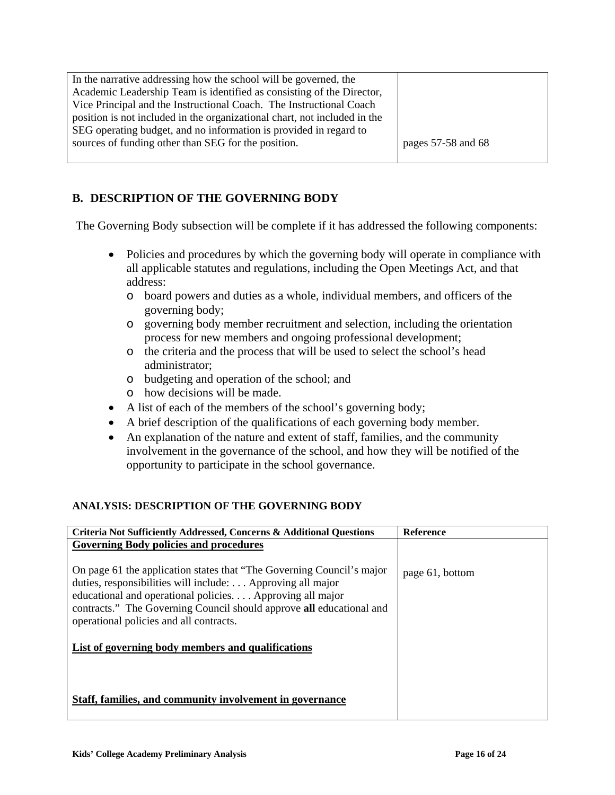| In the narrative addressing how the school will be governed, the          |                    |
|---------------------------------------------------------------------------|--------------------|
| Academic Leadership Team is identified as consisting of the Director,     |                    |
| Vice Principal and the Instructional Coach. The Instructional Coach       |                    |
| position is not included in the organizational chart, not included in the |                    |
| SEG operating budget, and no information is provided in regard to         |                    |
| sources of funding other than SEG for the position.                       | pages 57-58 and 68 |
|                                                                           |                    |

# **B. DESCRIPTION OF THE GOVERNING BODY**

The Governing Body subsection will be complete if it has addressed the following components:

- Policies and procedures by which the governing body will operate in compliance with all applicable statutes and regulations, including the Open Meetings Act, and that address:
	- o board powers and duties as a whole, individual members, and officers of the governing body;
	- o governing body member recruitment and selection, including the orientation process for new members and ongoing professional development;
	- o the criteria and the process that will be used to select the school's head administrator;
	- o budgeting and operation of the school; and
	- o how decisions will be made.
- A list of each of the members of the school's governing body;
- A brief description of the qualifications of each governing body member.
- An explanation of the nature and extent of staff, families, and the community involvement in the governance of the school, and how they will be notified of the opportunity to participate in the school governance.

### **ANALYSIS: DESCRIPTION OF THE GOVERNING BODY**

| Criteria Not Sufficiently Addressed, Concerns & Additional Questions                                                                                                                                                                                                                                                | <b>Reference</b> |
|---------------------------------------------------------------------------------------------------------------------------------------------------------------------------------------------------------------------------------------------------------------------------------------------------------------------|------------------|
| <b>Governing Body policies and procedures</b>                                                                                                                                                                                                                                                                       |                  |
| On page 61 the application states that "The Governing Council's major<br>duties, responsibilities will include:  Approving all major<br>educational and operational policies Approving all major<br>contracts." The Governing Council should approve all educational and<br>operational policies and all contracts. | page 61, bottom  |
| List of governing body members and qualifications                                                                                                                                                                                                                                                                   |                  |
| Staff, families, and community involvement in governance                                                                                                                                                                                                                                                            |                  |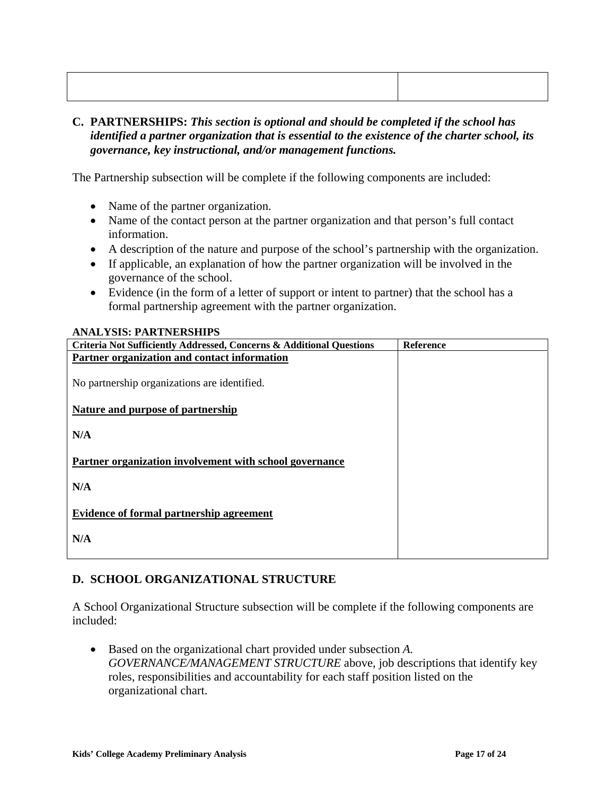## **C. PARTNERSHIPS:** *This section is optional and should be completed if the school has identified a partner organization that is essential to the existence of the charter school, its governance, key instructional, and/or management functions.*

The Partnership subsection will be complete if the following components are included:

- Name of the partner organization.
- Name of the contact person at the partner organization and that person's full contact information.
- A description of the nature and purpose of the school's partnership with the organization.
- If applicable, an explanation of how the partner organization will be involved in the governance of the school.
- Evidence (in the form of a letter of support or intent to partner) that the school has a formal partnership agreement with the partner organization.

### **ANALYSIS: PARTNERSHIPS**

| Criteria Not Sufficiently Addressed, Concerns & Additional Questions | <b>Reference</b> |
|----------------------------------------------------------------------|------------------|
| Partner organization and contact information                         |                  |
|                                                                      |                  |
| No partnership organizations are identified.                         |                  |
|                                                                      |                  |
| Nature and purpose of partnership                                    |                  |
|                                                                      |                  |
| N/A                                                                  |                  |
|                                                                      |                  |
| Partner organization involvement with school governance              |                  |
|                                                                      |                  |
| N/A                                                                  |                  |
|                                                                      |                  |
| <b>Evidence of formal partnership agreement</b>                      |                  |
|                                                                      |                  |
| N/A                                                                  |                  |
|                                                                      |                  |
|                                                                      |                  |

## **D. SCHOOL ORGANIZATIONAL STRUCTURE**

A School Organizational Structure subsection will be complete if the following components are included:

• Based on the organizational chart provided under subsection *A. GOVERNANCE/MANAGEMENT STRUCTURE* above, job descriptions that identify key roles, responsibilities and accountability for each staff position listed on the organizational chart.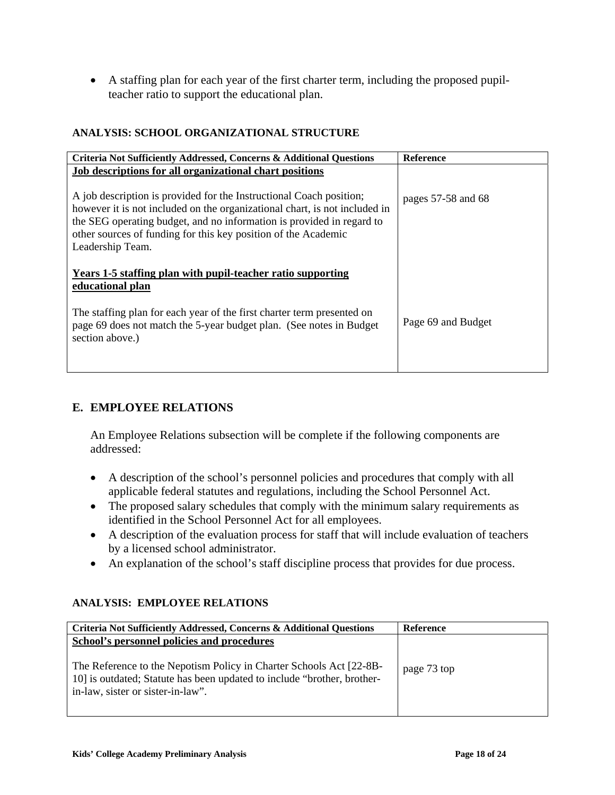• A staffing plan for each year of the first charter term, including the proposed pupilteacher ratio to support the educational plan.

# **ANALYSIS: SCHOOL ORGANIZATIONAL STRUCTURE**

| Criteria Not Sufficiently Addressed, Concerns & Additional Questions                                                                                                                                                                                                                                             | <b>Reference</b>   |
|------------------------------------------------------------------------------------------------------------------------------------------------------------------------------------------------------------------------------------------------------------------------------------------------------------------|--------------------|
| Job descriptions for all organizational chart positions                                                                                                                                                                                                                                                          |                    |
| A job description is provided for the Instructional Coach position;<br>however it is not included on the organizational chart, is not included in<br>the SEG operating budget, and no information is provided in regard to<br>other sources of funding for this key position of the Academic<br>Leadership Team. | pages 57-58 and 68 |
| Years 1-5 staffing plan with pupil-teacher ratio supporting<br>educational plan                                                                                                                                                                                                                                  |                    |
| The staffing plan for each year of the first charter term presented on<br>page 69 does not match the 5-year budget plan. (See notes in Budget<br>section above.)                                                                                                                                                 | Page 69 and Budget |

# **E. EMPLOYEE RELATIONS**

An Employee Relations subsection will be complete if the following components are addressed:

- A description of the school's personnel policies and procedures that comply with all applicable federal statutes and regulations, including the School Personnel Act.
- The proposed salary schedules that comply with the minimum salary requirements as identified in the School Personnel Act for all employees.
- A description of the evaluation process for staff that will include evaluation of teachers by a licensed school administrator.
- An explanation of the school's staff discipline process that provides for due process.

### **ANALYSIS: EMPLOYEE RELATIONS**

| Criteria Not Sufficiently Addressed, Concerns & Additional Questions                                                                                                                | <b>Reference</b> |
|-------------------------------------------------------------------------------------------------------------------------------------------------------------------------------------|------------------|
| School's personnel policies and procedures                                                                                                                                          |                  |
| The Reference to the Nepotism Policy in Charter Schools Act [22-8B-<br>10] is outdated; Statute has been updated to include "brother, brother-<br>in-law, sister or sister-in-law". | page 73 top      |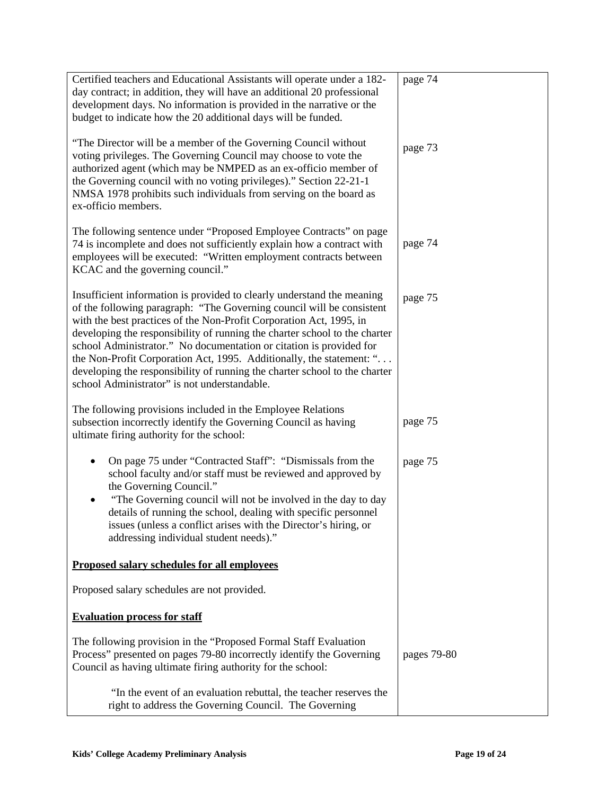| Certified teachers and Educational Assistants will operate under a 182-                                                                                                                                                                                                                                                                                                                                                                                                                                                                                                           | page 74     |
|-----------------------------------------------------------------------------------------------------------------------------------------------------------------------------------------------------------------------------------------------------------------------------------------------------------------------------------------------------------------------------------------------------------------------------------------------------------------------------------------------------------------------------------------------------------------------------------|-------------|
| day contract; in addition, they will have an additional 20 professional                                                                                                                                                                                                                                                                                                                                                                                                                                                                                                           |             |
| development days. No information is provided in the narrative or the                                                                                                                                                                                                                                                                                                                                                                                                                                                                                                              |             |
| budget to indicate how the 20 additional days will be funded.                                                                                                                                                                                                                                                                                                                                                                                                                                                                                                                     |             |
| "The Director will be a member of the Governing Council without<br>voting privileges. The Governing Council may choose to vote the<br>authorized agent (which may be NMPED as an ex-officio member of<br>the Governing council with no voting privileges)." Section 22-21-1<br>NMSA 1978 prohibits such individuals from serving on the board as<br>ex-officio members.                                                                                                                                                                                                           | page 73     |
| The following sentence under "Proposed Employee Contracts" on page<br>74 is incomplete and does not sufficiently explain how a contract with<br>employees will be executed: "Written employment contracts between<br>KCAC and the governing council."                                                                                                                                                                                                                                                                                                                             | page 74     |
| Insufficient information is provided to clearly understand the meaning<br>of the following paragraph: "The Governing council will be consistent<br>with the best practices of the Non-Profit Corporation Act, 1995, in<br>developing the responsibility of running the charter school to the charter<br>school Administrator." No documentation or citation is provided for<br>the Non-Profit Corporation Act, 1995. Additionally, the statement: "<br>developing the responsibility of running the charter school to the charter<br>school Administrator" is not understandable. | page 75     |
| The following provisions included in the Employee Relations<br>subsection incorrectly identify the Governing Council as having<br>ultimate firing authority for the school:                                                                                                                                                                                                                                                                                                                                                                                                       | page 75     |
| On page 75 under "Contracted Staff": "Dismissals from the<br>school faculty and/or staff must be reviewed and approved by<br>the Governing Council."<br>"The Governing council will not be involved in the day to day<br>details of running the school, dealing with specific personnel<br>issues (unless a conflict arises with the Director's hiring, or<br>addressing individual student needs)."                                                                                                                                                                              | page 75     |
| <b>Proposed salary schedules for all employees</b>                                                                                                                                                                                                                                                                                                                                                                                                                                                                                                                                |             |
| Proposed salary schedules are not provided.                                                                                                                                                                                                                                                                                                                                                                                                                                                                                                                                       |             |
| <b>Evaluation process for staff</b>                                                                                                                                                                                                                                                                                                                                                                                                                                                                                                                                               |             |
| The following provision in the "Proposed Formal Staff Evaluation"<br>Process" presented on pages 79-80 incorrectly identify the Governing<br>Council as having ultimate firing authority for the school:                                                                                                                                                                                                                                                                                                                                                                          | pages 79-80 |
| "In the event of an evaluation rebuttal, the teacher reserves the<br>right to address the Governing Council. The Governing                                                                                                                                                                                                                                                                                                                                                                                                                                                        |             |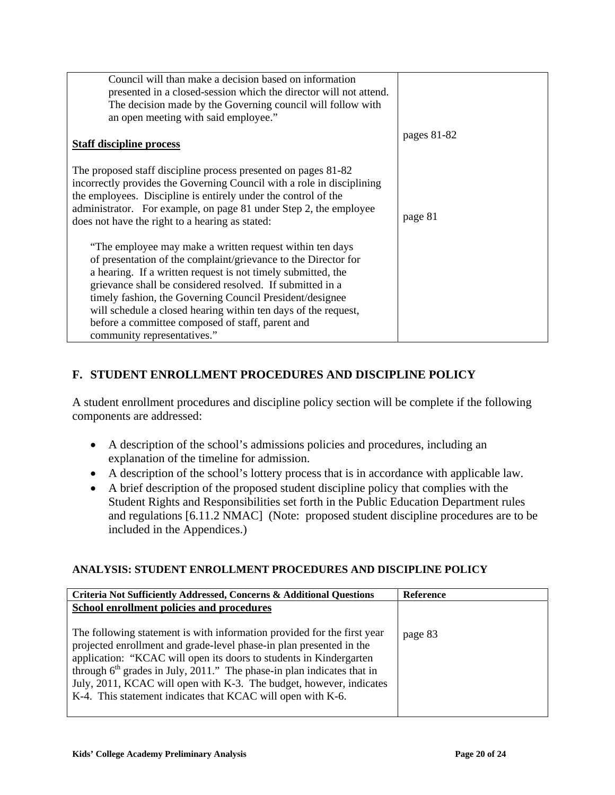| Council will than make a decision based on information<br>presented in a closed-session which the director will not attend.<br>The decision made by the Governing council will follow with<br>an open meeting with said employee."                                                                                                                                                                                                                                       |             |
|--------------------------------------------------------------------------------------------------------------------------------------------------------------------------------------------------------------------------------------------------------------------------------------------------------------------------------------------------------------------------------------------------------------------------------------------------------------------------|-------------|
| <b>Staff discipline process</b>                                                                                                                                                                                                                                                                                                                                                                                                                                          | pages 81-82 |
| The proposed staff discipline process presented on pages 81-82<br>incorrectly provides the Governing Council with a role in disciplining<br>the employees. Discipline is entirely under the control of the<br>administrator. For example, on page 81 under Step 2, the employee<br>does not have the right to a hearing as stated:                                                                                                                                       | page 81     |
| "The employee may make a written request within ten days<br>of presentation of the complaint/grievance to the Director for<br>a hearing. If a written request is not timely submitted, the<br>grievance shall be considered resolved. If submitted in a<br>timely fashion, the Governing Council President/designee<br>will schedule a closed hearing within ten days of the request,<br>before a committee composed of staff, parent and<br>community representatives." |             |

# **F. STUDENT ENROLLMENT PROCEDURES AND DISCIPLINE POLICY**

A student enrollment procedures and discipline policy section will be complete if the following components are addressed:

- A description of the school's admissions policies and procedures, including an explanation of the timeline for admission.
- A description of the school's lottery process that is in accordance with applicable law.
- A brief description of the proposed student discipline policy that complies with the Student Rights and Responsibilities set forth in the Public Education Department rules and regulations [6.11.2 NMAC] (Note: proposed student discipline procedures are to be included in the Appendices.)

### **ANALYSIS: STUDENT ENROLLMENT PROCEDURES AND DISCIPLINE POLICY**

| Criteria Not Sufficiently Addressed, Concerns & Additional Questions                                                                                                                                                                                                                                                                                                                                                                             | <b>Reference</b> |
|--------------------------------------------------------------------------------------------------------------------------------------------------------------------------------------------------------------------------------------------------------------------------------------------------------------------------------------------------------------------------------------------------------------------------------------------------|------------------|
| School enrollment policies and procedures                                                                                                                                                                                                                                                                                                                                                                                                        |                  |
| The following statement is with information provided for the first year<br>projected enrollment and grade-level phase-in plan presented in the<br>application: "KCAC will open its doors to students in Kindergarten<br>through 6 <sup>th</sup> grades in July, 2011." The phase-in plan indicates that in<br>July, 2011, KCAC will open with K-3. The budget, however, indicates<br>K-4. This statement indicates that KCAC will open with K-6. | page 83          |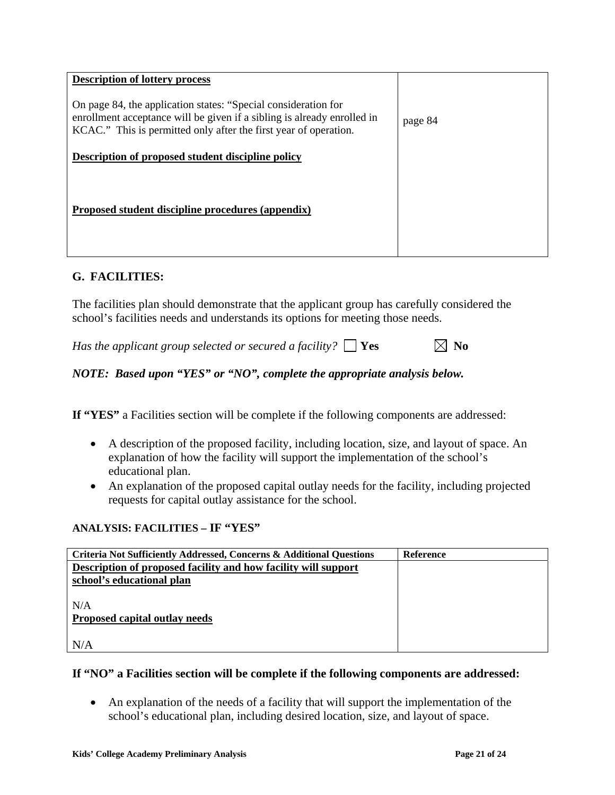| <b>Description of lottery process</b>                                                                                                                                                                         |         |
|---------------------------------------------------------------------------------------------------------------------------------------------------------------------------------------------------------------|---------|
| On page 84, the application states: "Special consideration for<br>enrollment acceptance will be given if a sibling is already enrolled in<br>KCAC." This is permitted only after the first year of operation. | page 84 |
| <b>Description of proposed student discipline policy</b>                                                                                                                                                      |         |
| Proposed student discipline procedures (appendix)                                                                                                                                                             |         |

## **G. FACILITIES:**

The facilities plan should demonstrate that the applicant group has carefully considered the school's facilities needs and understands its options for meeting those needs.

*Has the applicant group selected or secured a facility?*  $\Box$  **Yes**  $\Box$  **No** 

*NOTE: Based upon "YES" or "NO", complete the appropriate analysis below.* 

**If "YES"** a Facilities section will be complete if the following components are addressed:

- A description of the proposed facility, including location, size, and layout of space. An explanation of how the facility will support the implementation of the school's educational plan.
- An explanation of the proposed capital outlay needs for the facility, including projected requests for capital outlay assistance for the school.

## **ANALYSIS: FACILITIES – IF "YES"**

| Criteria Not Sufficiently Addressed, Concerns & Additional Questions | <b>Reference</b> |
|----------------------------------------------------------------------|------------------|
| Description of proposed facility and how facility will support       |                  |
| school's educational plan                                            |                  |
| N/A                                                                  |                  |
| Proposed capital outlay needs                                        |                  |
|                                                                      |                  |
| N/A                                                                  |                  |

### **If "NO" a Facilities section will be complete if the following components are addressed:**

• An explanation of the needs of a facility that will support the implementation of the school's educational plan, including desired location, size, and layout of space.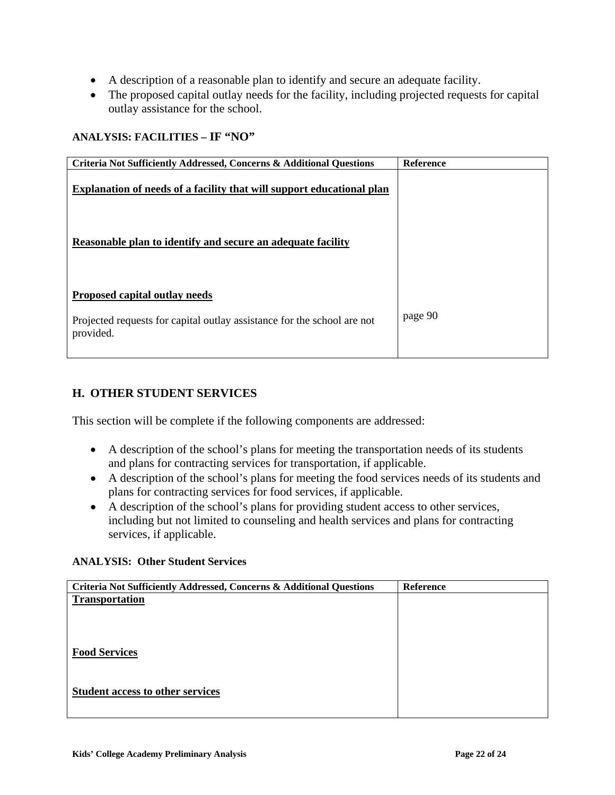- A description of a reasonable plan to identify and secure an adequate facility.
- The proposed capital outlay needs for the facility, including projected requests for capital outlay assistance for the school.

#### **ANALYSIS: FACILITIES – IF "NO"**

| <b>Reference</b> |
|------------------|
|                  |
|                  |
| page 90          |
|                  |

## **H. OTHER STUDENT SERVICES**

This section will be complete if the following components are addressed:

- A description of the school's plans for meeting the transportation needs of its students and plans for contracting services for transportation, if applicable.
- A description of the school's plans for meeting the food services needs of its students and plans for contracting services for food services, if applicable.
- A description of the school's plans for providing student access to other services, including but not limited to counseling and health services and plans for contracting services, if applicable.

#### **ANALYSIS: Other Student Services**

| Criteria Not Sufficiently Addressed, Concerns & Additional Questions | Reference |
|----------------------------------------------------------------------|-----------|
| <b>Transportation</b>                                                |           |
|                                                                      |           |
|                                                                      |           |
|                                                                      |           |
| <b>Food Services</b>                                                 |           |
|                                                                      |           |
| <b>Student access to other services</b>                              |           |
|                                                                      |           |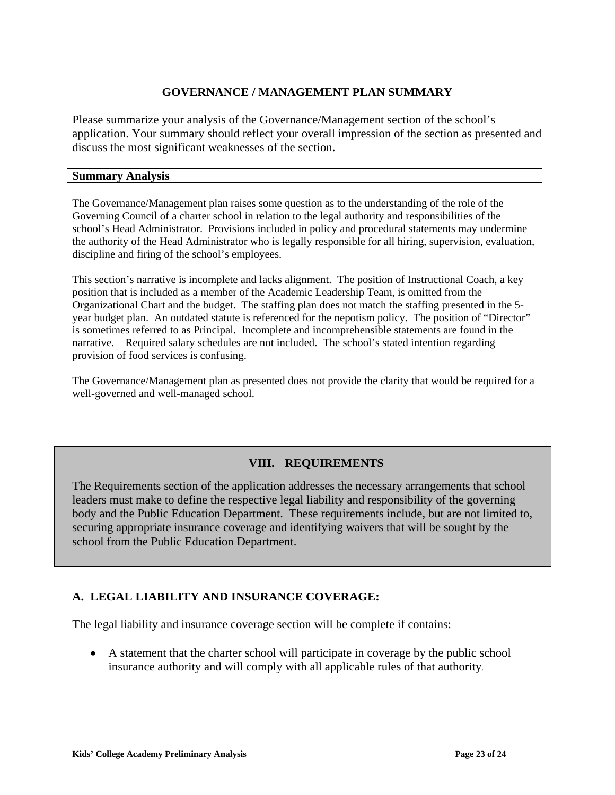## **GOVERNANCE / MANAGEMENT PLAN SUMMARY**

Please summarize your analysis of the Governance/Management section of the school's application. Your summary should reflect your overall impression of the section as presented and discuss the most significant weaknesses of the section.

### **Summary Analysis**

i

The Governance/Management plan raises some question as to the understanding of the role of the Governing Council of a charter school in relation to the legal authority and responsibilities of the school's Head Administrator. Provisions included in policy and procedural statements may undermine the authority of the Head Administrator who is legally responsible for all hiring, supervision, evaluation, discipline and firing of the school's employees.

This section's narrative is incomplete and lacks alignment. The position of Instructional Coach, a key position that is included as a member of the Academic Leadership Team, is omitted from the Organizational Chart and the budget. The staffing plan does not match the staffing presented in the 5 year budget plan. An outdated statute is referenced for the nepotism policy. The position of "Director" is sometimes referred to as Principal. Incomplete and incomprehensible statements are found in the narrative. Required salary schedules are not included. The school's stated intention regarding provision of food services is confusing.

The Governance/Management plan as presented does not provide the clarity that would be required for a well-governed and well-managed school.

# **VIII. REQUIREMENTS**

The Requirements section of the application addresses the necessary arrangements that school leaders must make to define the respective legal liability and responsibility of the governing body and the Public Education Department. These requirements include, but are not limited to, securing appropriate insurance coverage and identifying waivers that will be sought by the school from the Public Education Department.

## **A. LEGAL LIABILITY AND INSURANCE COVERAGE:**

The legal liability and insurance coverage section will be complete if contains:

• A statement that the charter school will participate in coverage by the public school insurance authority and will comply with all applicable rules of that authority.